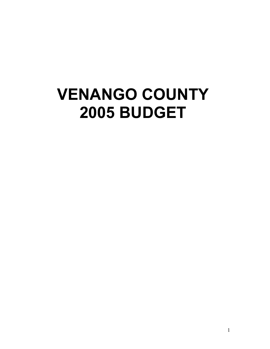# **VENANGO COUNTY 2005 BUDGET**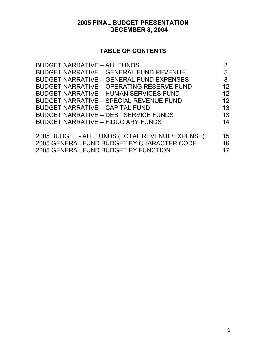## **2005 FINAL BUDGET PRESENTATION DECEMBER 8, 2004**

## **TABLE OF CONTENTS**

| <b>BUDGET NARRATIVE - ALL FUNDS</b>              |                 |
|--------------------------------------------------|-----------------|
| <b>BUDGET NARRATIVE - GENERAL FUND REVENUE</b>   | 5               |
| <b>BUDGET NARRATIVE - GENERAL FUND EXPENSES</b>  | 8               |
| <b>BUDGET NARRATIVE - OPERATING RESERVE FUND</b> | 12 <sup>2</sup> |
| <b>BUDGET NARRATIVE - HUMAN SERVICES FUND</b>    | 12 <sup>2</sup> |
| <b>BUDGET NARRATIVE - SPECIAL REVENUE FUND</b>   | 12              |
| <b>BUDGET NARRATIVE - CAPITAL FUND</b>           | 13              |
| <b>BUDGET NARRATIVE - DEBT SERVICE FUNDS</b>     | 13              |
| <b>BUDGET NARRATIVE - FIDUCIARY FUNDS</b>        | 14              |
| 2005 BUDGET - ALL FUNDS (TOTAL REVENUE/EXPENSE)  | 15 <sup>1</sup> |
| 2005 GENERAL FUND BUDGET BY CHARACTER CODE       | 16              |
| 2005 GENERAL FUND BUDGET BY FUNCTION             | 17              |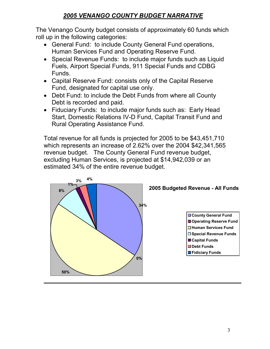## *2005 VENANGO COUNTY BUDGET NARRATIVE*

The Venango County budget consists of approximately 60 funds which roll up in the following categories:

- General Fund: to include County General Fund operations, Human Services Fund and Operating Reserve Fund.
- Special Revenue Funds: to include major funds such as Liquid Fuels, Airport Special Funds, 911 Special Funds and CDBG Funds.
- Capital Reserve Fund: consists only of the Capital Reserve Fund, designated for capital use only.
- Debt Fund: to include the Debt Funds from where all County Debt is recorded and paid.
- Fiduciary Funds: to include major funds such as: Early Head Start, Domestic Relations IV-D Fund, Capital Transit Fund and Rural Operating Assistance Fund.

Total revenue for all funds is projected for 2005 to be \$43,451,710 which represents an increase of 2.62% over the 2004 \$42,341,565 revenue budget. The County General Fund revenue budget, excluding Human Services, is projected at \$14,942,039 or an estimated 34% of the entire revenue budget.

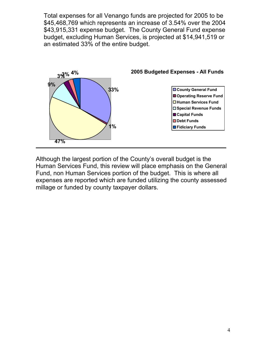Total expenses for all Venango funds are projected for 2005 to be \$45,468,769 which represents an increase of 3.54% over the 2004 \$43,915,331 expense budget. The County General Fund expense budget, excluding Human Services, is projected at \$14,941,519 or an estimated 33% of the entire budget.



Although the largest portion of the County's overall budget is the Human Services Fund, this review will place emphasis on the General Fund, non Human Services portion of the budget. This is where all expenses are reported which are funded utilizing the county assessed millage or funded by county taxpayer dollars.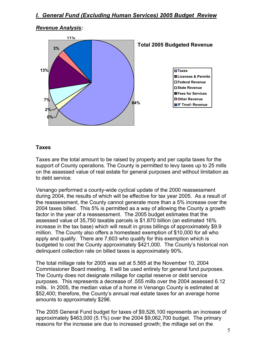#### *Revenue Analysis:*



#### **Taxes**

Taxes are the total amount to be raised by property and per capita taxes for the support of County operations. The County is permitted to levy taxes up to 25 mills on the assessed value of real estate for general purposes and without limitation as to debt service.

Venango performed a county-wide cyclical update of the 2000 reassessment during 2004, the results of which will be effective for tax year 2005. As a result of the reassessment, the County cannot generate more than a 5% increase over the 2004 taxes billed. This 5% is permitted as a way of allowing the County a growth factor in the year of a reassessment. The 2005 budget estimates that the assessed value of 35,750 taxable parcels is \$1.870 billion (an estimated 16% increase in the tax base) which will result in gross billings of approximately \$9.9 million. The County also offers a homestead exemption of \$10,000 for all who apply and qualify. There are 7,603 who qualify for this exemption which is budgeted to cost the County approximately \$421,000. The County's historical non delinquent collection rate on billed taxes is approximately 90%.

The total millage rate for 2005 was set at 5.565 at the November 10, 2004 Commissioner Board meeting. It will be used entirely for general fund purposes. The County does not designate millage for capital reserve or debt service purposes. This represents a decrease of .555 mills over the 2004 assessed 6.12 mills. In 2005, the median value of a home in Venango County is estimated at \$52,400; therefore, the County's annual real estate taxes for an average home amounts to approximately \$296.

The 2005 General Fund budget for taxes of \$9,526,100 represents an increase of approximately \$463,000 (5.1%) over the 2004 \$9,062,700 budget. The primary reasons for the increase are due to increased growth; the millage set on the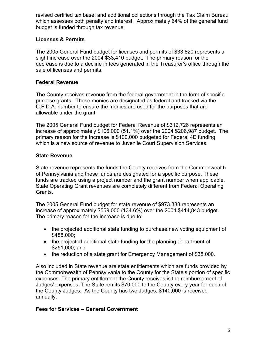revised certified tax base; and additional collections through the Tax Claim Bureau which assesses both penalty and interest. Approximately 64% of the general fund budget is funded through tax revenue.

## **Licenses & Permits**

The 2005 General Fund budget for licenses and permits of \$33,820 represents a slight increase over the 2004 \$33,410 budget. The primary reason for the decrease is due to a decline in fees generated in the Treasurer's office through the sale of licenses and permits.

## **Federal Revenue**

The County receives revenue from the federal government in the form of specific purpose grants. These monies are designated as federal and tracked via the C.F.D.A. number to ensure the monies are used for the purposes that are allowable under the grant.

The 2005 General Fund budget for Federal Revenue of \$312,726 represents an increase of approximately \$106,000 (51.1%) over the 2004 \$206,987 budget. The primary reason for the increase is \$100,000 budgeted for Federal 4E funding which is a new source of revenue to Juvenile Court Supervision Services.

## **State Revenue**

State revenue represents the funds the County receives from the Commonwealth of Pennsylvania and these funds are designated for a specific purpose. These funds are tracked using a project number and the grant number when applicable. State Operating Grant revenues are completely different from Federal Operating Grants.

The 2005 General Fund budget for state revenue of \$973,388 represents an increase of approximately \$559,000 (134.6%) over the 2004 \$414,843 budget. The primary reason for the increase is due to:

- the projected additional state funding to purchase new voting equipment of \$488,000;
- the projected additional state funding for the planning department of \$251,000; and
- the reduction of a state grant for Emergency Management of \$38,000.

Also included in State revenue are state entitlements which are funds provided by the Commonwealth of Pennsylvania to the County for the State's portion of specific expenses. The primary entitlement the County receives is the reimbursement of Judges' expenses. The State remits \$70,000 to the County every year for each of the County Judges. As the County has two Judges, \$140,000 is received annually.

## **Fees for Services – General Government**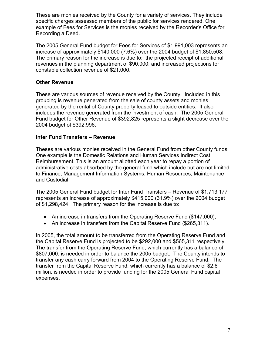These are monies received by the County for a variety of services. They include specific charges assessed members of the public for services rendered. One example of Fees for Services is the monies received by the Recorder's Office for Recording a Deed.

The 2005 General Fund budget for Fees for Services of \$1,991,003 represents an increase of approximately \$140,000 (7.6%) over the 2004 budget of \$1,850,508. The primary reason for the increase is due to: the projected receipt of additional revenues in the planning department of \$90,000; and increased projections for constable collection revenue of \$21,000.

#### **Other Revenue**

These are various sources of revenue received by the County. Included in this grouping is revenue generated from the sale of county assets and monies generated by the rental of County property leased to outside entities. It also includes the revenue generated from the investment of cash. The 2005 General Fund budget for Other Revenue of \$392,825 represents a slight decrease over the 2004 budget of \$392,996.

#### **Inter Fund Transfers – Revenue**

Theses are various monies received in the General Fund from other County funds. One example is the Domestic Relations and Human Services Indirect Cost Reimbursement. This is an amount allotted each year to repay a portion of administrative costs absorbed by the general fund which include but are not limited to Finance, Management Information Systems, Human Resources, Maintenance and Custodial.

The 2005 General Fund budget for Inter Fund Transfers – Revenue of \$1,713,177 represents an increase of approximately \$415,000 (31.9%) over the 2004 budget of \$1,298,424. The primary reason for the increase is due to:

- An increase in transfers from the Operating Reserve Fund (\$147,000);
- An increase in transfers from the Capital Reserve Fund (\$265.311).

In 2005, the total amount to be transferred from the Operating Reserve Fund and the Capital Reserve Fund is projected to be \$292,000 and \$565,311 respectively. The transfer from the Operating Reserve Fund, which currently has a balance of \$807,000, is needed in order to balance the 2005 budget. The County intends to transfer any cash carry forward from 2004 to the Operating Reserve Fund. The transfer from the Capital Reserve Fund, which currently has a balance of \$2.6 million, is needed in order to provide funding for the 2005 General Fund capital expenses.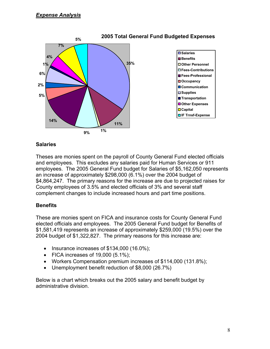

#### **Salaries**

Theses are monies spent on the payroll of County General Fund elected officials and employees. This excludes any salaries paid for Human Services or 911 employees. The 2005 General Fund budget for Salaries of \$5,162,050 represents an increase of approximately \$298,000 (6.1%) over the 2004 budget of \$4,864,247. The primary reasons for the increase are due to projected raises for County employees of 3.5% and elected officials of 3% and several staff complement changes to include increased hours and part time positions.

## **Benefits**

These are monies spent on FICA and insurance costs for County General Fund elected officials and employees. The 2005 General Fund budget for Benefits of \$1,581,419 represents an increase of approximately \$259,000 (19.5%) over the 2004 budget of \$1,322,827. The primary reasons for this increase are:

- Insurance increases of \$134,000 (16.0%);
- FICA increases of  $19,000$   $(5.1\%)$ ;
- Workers Compensation premium increases of \$114,000 (131.8%);
- Unemployment benefit reduction of \$8,000 (26.7%)

Below is a chart which breaks out the 2005 salary and benefit budget by administrative division.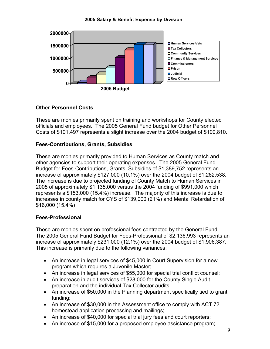#### **2005 Salary & Benefit Expense by Division**



#### **Other Personnel Costs**

These are monies primarily spent on training and workshops for County elected officials and employees. The 2005 General Fund budget for Other Personnel Costs of \$101,497 represents a slight increase over the 2004 budget of \$100,810.

#### **Fees-Contributions, Grants, Subsidies**

These are monies primarily provided to Human Services as County match and other agencies to support their operating expenses. The 2005 General Fund Budget for Fees-Contributions, Grants, Subsidies of \$1,389,752 represents an increase of approximately \$127,000 (10.1%) over the 2004 budget of \$1,262,538. The increase is due to projected funding of County Match to Human Services in 2005 of approximately \$1,135,000 versus the 2004 funding of \$991,000 which represents a \$153,000 (15.4%) increase. The majority of this increase is due to increases in county match for CYS of \$139,000 (21%) and Mental Retardation of \$16,000 (15.4%)

## **Fees-Professional**

These are monies spent on professional fees contracted by the General Fund. The 2005 General Fund Budget for Fees-Professional of \$2,136,993 represents an increase of approximately \$231,000 (12.1%) over the 2004 budget of \$1,906,387. This increase is primarily due to the following variances:

- An increase in legal services of \$45,000 in Court Supervision for a new program which requires a Juvenile Master;
- An increase in legal services of \$55,000 for special trial conflict counsel;
- An increase in audit services of \$28,000 for the County Single Audit preparation and the individual Tax Collector audits;
- An increase of \$50,000 in the Planning department specifically tied to grant funding;
- An increase of \$30,000 in the Assessment office to comply with ACT 72 homestead application processing and mailings;
- An increase of \$40,000 for special trial jury fees and court reporters;
- An increase of \$15,000 for a proposed employee assistance program;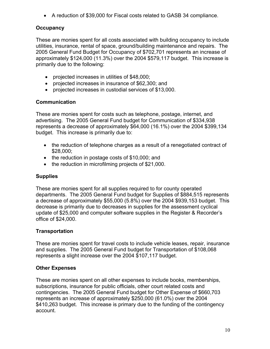• A reduction of \$39,000 for Fiscal costs related to GASB 34 compliance.

## **Occupancy**

These are monies spent for all costs associated with building occupancy to include utilities, insurance, rental of space, ground/building maintenance and repairs. The 2005 General Fund Budget for Occupancy of \$702,701 represents an increase of approximately \$124,000 (11.3%) over the 2004 \$579,117 budget. This increase is primarily due to the following:

- projected increases in utilities of \$48,000;
- projected increases in insurance of \$62,300; and
- projected increases in custodial services of \$13,000.

## **Communication**

These are monies spent for costs such as telephone, postage, internet, and advertising. The 2005 General Fund budget for Communication of \$334,938 represents a decrease of approximately \$64,000 (16.1%) over the 2004 \$399,134 budget. This increase is primarily due to:

- the reduction of telephone charges as a result of a renegotiated contract of \$28,000;
- the reduction in postage costs of \$10,000; and
- the reduction in microfilming projects of \$21,000.

## **Supplies**

These are monies spent for all supplies required to for county operated departments. The 2005 General Fund budget for Supplies of \$884,515 represents a decrease of approximately \$55,000 (5.8%) over the 2004 \$939,153 budget. This decrease is primarily due to decreases in supplies for the assessment cyclical update of \$25,000 and computer software supplies in the Register & Recorder's office of \$24,000.

## **Transportation**

These are monies spent for travel costs to include vehicle leases, repair, insurance and supplies. The 2005 General Fund budget for Transportation of \$108,068 represents a slight increase over the 2004 \$107,117 budget.

## **Other Expenses**

These are monies spent on all other expenses to include books, memberships, subscriptions, insurance for public officials, other court related costs and contingencies. The 2005 General Fund budget for Other Expense of \$660,703 represents an increase of approximately \$250,000 (61.0%) over the 2004 \$410,263 budget. This increase is primary due to the funding of the contingency account.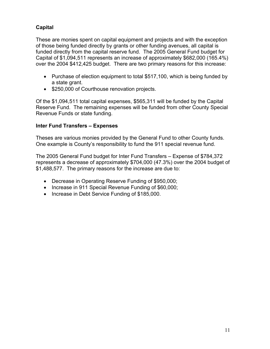## **Capital**

These are monies spent on capital equipment and projects and with the exception of those being funded directly by grants or other funding avenues, all capital is funded directly from the capital reserve fund. The 2005 General Fund budget for Capital of \$1,094,511 represents an increase of approximately \$682,000 (165.4%) over the 2004 \$412,425 budget. There are two primary reasons for this increase:

- Purchase of election equipment to total \$517,100, which is being funded by a state grant.
- \$250,000 of Courthouse renovation projects.

Of the \$1,094,511 total capital expenses, \$565,311 will be funded by the Capital Reserve Fund. The remaining expenses will be funded from other County Special Revenue Funds or state funding.

#### **Inter Fund Transfers – Expenses**

Theses are various monies provided by the General Fund to other County funds. One example is County's responsibility to fund the 911 special revenue fund.

The 2005 General Fund budget for Inter Fund Transfers – Expense of \$784,372 represents a decrease of approximately \$704,000 (47.3%) over the 2004 budget of \$1,488,577. The primary reasons for the increase are due to:

- Decrease in Operating Reserve Funding of \$950,000;
- Increase in 911 Special Revenue Funding of \$60,000;
- Increase in Debt Service Funding of \$185,000.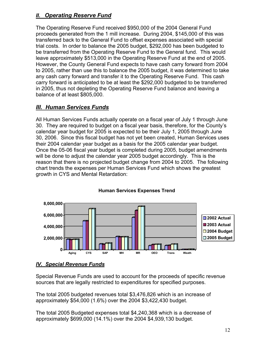## *II. Operating Reserve Fund*

The Operating Reserve Fund received \$950,000 of the 2004 General Fund proceeds generated from the 1 mill increase. During 2004, \$145,000 of this was transferred back to the General Fund to offset expenses associated with special trial costs. In order to balance the 2005 budget, \$292,000 has been budgeted to be transferred from the Operating Reserve Fund to the General fund. This would leave approximately \$513,000 in the Operating Reserve Fund at the end of 2005. However, the County General Fund expects to have cash carry forward from 2004 to 2005, rather than use this to balance the 2005 budget, it was determined to take any cash carry forward and transfer it to the Operating Reserve Fund. This cash carry forward is anticipated to be at least the \$292,000 budgeted to be transferred in 2005, thus not depleting the Operating Reserve Fund balance and leaving a balance of at least \$805,000.

## *III. Human Services Funds*

All Human Services Funds actually operate on a fiscal year of July 1 through June 30. They are required to budget on a fiscal year basis, therefore, for the County's calendar year budget for 2005 is expected to be their July 1, 2005 through June 30, 2006. Since this fiscal budget has not yet been created, Human Services uses their 2004 calendar year budget as a basis for the 2005 calendar year budget. Once the 05-06 fiscal year budget is completed during 2005, budget amendments will be done to adjust the calendar year 2005 budget accordingly. This is the reason that there is no projected budget change from 2004 to 2005. The following chart trends the expenses per Human Services Fund which shows the greatest growth in CYS and Mental Retardation:



## **Human Services Expenses Trend**

## *IV. Special Revenue Funds*

Special Revenue Funds are used to account for the proceeds of specific revenue sources that are legally restricted to expenditures for specified purposes.

The total 2005 budgeted revenues total \$3,476,826 which is an increase of approximately \$54,000 (1.6%) over the 2004 \$3,422,430 budget.

The total 2005 Budgeted expenses total \$4,240,368 which is a decrease of approximately \$699,000 (14.1%) over the 2004 \$4,939,130 budget.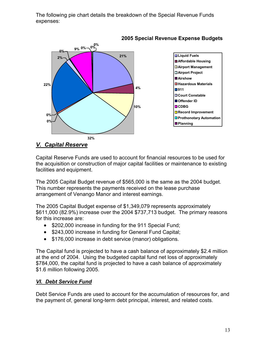The following pie chart details the breakdown of the Special Revenue Funds expenses:



## **2005 Special Revenue Expense Budgets**

## *V. Capital Reserve*

Capital Reserve Funds are used to account for financial resources to be used for the acquisition or construction of major capital facilities or maintenance to existing facilities and equipment.

The 2005 Capital Budget revenue of \$565,000 is the same as the 2004 budget. This number represents the payments received on the lease purchase arrangement of Venango Manor and interest earnings.

The 2005 Capital Budget expense of \$1,349,079 represents approximately \$611,000 (82.9%) increase over the 2004 \$737,713 budget. The primary reasons for this increase are:

- \$202,000 increase in funding for the 911 Special Fund;
- \$243,000 increase in funding for General Fund Capital;
- \$176,000 increase in debt service (manor) obligations.

The Capital fund is projected to have a cash balance of approximately \$2.4 million at the end of 2004. Using the budgeted capital fund net loss of approximately \$784,000, the capital fund is projected to have a cash balance of approximately \$1.6 million following 2005.

## *VI. Debt Service Fund*

Debt Service Funds are used to account for the accumulation of resources for, and the payment of, general long-term debt principal, interest, and related costs.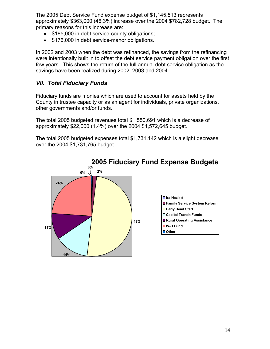The 2005 Debt Service Fund expense budget of \$1,145,513 represents approximately \$363,000 (46.3%) increase over the 2004 \$782,728 budget. The primary reasons for this increase are:

- \$185,000 in debt service-county obligations;
- \$176,000 in debt service-manor obligations.

In 2002 and 2003 when the debt was refinanced, the savings from the refinancing were intentionally built in to offset the debt service payment obligation over the first few years. This shows the return of the full annual debt service obligation as the savings have been realized during 2002, 2003 and 2004.

## *VII. Total Fiduciary Funds*

Fiduciary funds are monies which are used to account for assets held by the County in trustee capacity or as an agent for individuals, private organizations, other governments and/or funds.

The total 2005 budgeted revenues total \$1,550,691 which is a decrease of approximately \$22,000 (1.4%) over the 2004 \$1,572,645 budget.

The total 2005 budgeted expenses total \$1,731,142 which is a slight decrease over the 2004 \$1,731,765 budget.

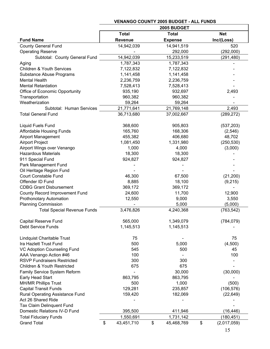|                                      | 2005 BUDGET                  |                |    |                |    |             |  |  |
|--------------------------------------|------------------------------|----------------|----|----------------|----|-------------|--|--|
|                                      | <b>Total</b><br><b>Total</b> |                |    |                |    | <b>Net</b>  |  |  |
| <b>Fund Name</b>                     |                              | <b>Revenue</b> |    | <b>Expense</b> |    | Inc/(Loss)  |  |  |
| <b>County General Fund</b>           |                              | 14,942,039     |    | 14,941,519     |    | 520         |  |  |
| <b>Operating Reserve</b>             |                              |                |    | 292,000        |    | (292,000)   |  |  |
| Subtotal: County General Fund        |                              | 14,942,039     |    | 15,233,519     |    | (291, 480)  |  |  |
| Aging                                |                              | 1,787,343      |    | 1,787,343      |    |             |  |  |
| <b>Children &amp; Youth Services</b> |                              | 7,122,832      |    | 7,122,832      |    |             |  |  |
| Substance Abuse Programs             |                              | 1,141,458      |    | 1,141,458      |    |             |  |  |
| <b>Mental Health</b>                 |                              | 2,236,759      |    | 2,236,759      |    |             |  |  |
| <b>Mental Retardation</b>            |                              | 7,528,413      |    | 7,528,413      |    |             |  |  |
| Office of Economic Opportunity       |                              | 935,190        |    | 932,697        |    | 2,493       |  |  |
| Transportation                       |                              | 960,382        |    | 960,382        |    |             |  |  |
| Weatherization                       |                              | 59,264         |    | 59,264         |    |             |  |  |
| Subtotal: Human Services             |                              | 21,771,641     |    | 21,769,148     |    | 2,493       |  |  |
| <b>Total General Fund</b>            |                              | 36,713,680     |    | 37,002,667     |    | (289, 272)  |  |  |
| Liquid Fuels Fund                    |                              | 368,600        |    | 905,803        |    | (537, 203)  |  |  |
| <b>Affordable Housing Funds</b>      |                              | 165,760        |    | 168,306        |    | (2, 546)    |  |  |
| <b>Airport Management</b>            |                              | 455,382        |    | 406,680        |    | 48,702      |  |  |
| Airport Project                      |                              | 1,081,450      |    | 1,331,980      |    | (250, 530)  |  |  |
| Airport Wings over Venango           |                              | 1,000          |    | 4,000          |    | (3,000)     |  |  |
| <b>Hazardous Materials</b>           |                              | 18,300         |    | 18,300         |    |             |  |  |
| 911 Special Fund                     |                              | 924,827        |    | 924,827        |    |             |  |  |
| Park Management Fund                 |                              |                |    |                |    |             |  |  |
| Oil Heritage Region Fund             |                              |                |    |                |    |             |  |  |
| <b>Court Constable Fund</b>          |                              | 46,300         |    | 67,500         |    | (21, 200)   |  |  |
| Offender ID Fund                     |                              | 8,885          |    | 18,100         |    | (9,215)     |  |  |
| <b>CDBG Grant Disbursement</b>       |                              | 369,172        |    | 369,172        |    |             |  |  |
| County Record Improvement Fund       |                              | 24,600         |    | 11,700         |    | 12,900      |  |  |
| <b>Prothonotary Automation</b>       |                              | 12,550         |    | 9,000          |    | 3,550       |  |  |
| <b>Planning Commission</b>           |                              |                |    | 5,000          |    | (5,000)     |  |  |
| <b>Total Special Revenue Funds</b>   |                              | 3,476,826      |    | 4,240,368      |    | (763, 542)  |  |  |
| Capital Reserve Fund                 |                              | 565,000        |    | 1,349,079      |    | (784, 079)  |  |  |
| Debt Service Funds                   |                              | 1,145,513      |    | 1,145,513      |    |             |  |  |
|                                      |                              |                |    |                |    |             |  |  |
| Lindquist Charitable Trust           |                              | 75             |    |                |    | 75          |  |  |
| Ira Hazlett Trust Fund               |                              | 500            |    | 5,000          |    | (4,500)     |  |  |
| VC Adoption Counseling Fund          |                              | 545            |    | 500            |    | 45          |  |  |
| AAA Venango Action #46               |                              | 100            |    |                |    | 100         |  |  |
| <b>RSVP Fundraisers Restricted</b>   |                              | 300            |    | 300            |    |             |  |  |
| Children & Youth Restricted          |                              | 675            |    | 675            |    |             |  |  |
| Family Service System Reform         |                              |                |    | 30,000         |    | (30,000)    |  |  |
| Early Head Start                     |                              | 863,795        |    | 863,795        |    |             |  |  |
| <b>MH/MR Phillips Trust</b>          |                              | 500            |    | 1,000          |    | (500)       |  |  |
| <b>Capital Transit Funds</b>         |                              | 129,281        |    | 235,857        |    | (106, 576)  |  |  |
| Rural Operating Assistance Fund      |                              | 159,420        |    | 182,069        |    | (22, 649)   |  |  |
| Act 26 Shared Ride                   |                              |                |    |                |    |             |  |  |
| Tax Claim Delinquent Fund            |                              |                |    |                |    |             |  |  |
| Domestic Relations IV-D Fund         |                              | 395,500        |    | 411,946        |    | (16, 446)   |  |  |
| <b>Total Fiduciary Funds</b>         |                              | 1,550,691      |    | 1,731,142      |    | (180, 451)  |  |  |
| <b>Grand Total</b>                   | \$                           | 43,451,710     | \$ | 45,468,769     | \$ | (2,017,059) |  |  |

#### **VENANGO COUNTY 2005 BUDGET - ALL FUNDS**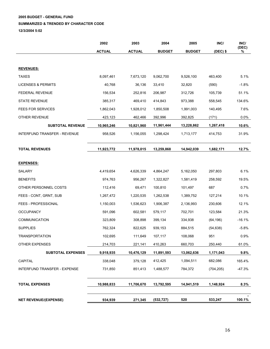**2005 BUDGET - GENERAL FUND** 

#### **SUMMARIZED & TRENDED BY CHARACTER CODE**

**12/3/2004 5:02** 

|                               | 2002          | 2003          | 2004          | 2005          | INC/       | INC/       |
|-------------------------------|---------------|---------------|---------------|---------------|------------|------------|
|                               | <b>ACTUAL</b> | <b>ACTUAL</b> | <b>BUDGET</b> | <b>BUDGET</b> | $(DEC)$ \$ | (DEC)<br>% |
|                               |               |               |               |               |            |            |
| <b>REVENUES:</b>              |               |               |               |               |            |            |
| <b>TAXES</b>                  | 8,097,461     | 7,673,120     | 9,062,700     | 9,526,100     | 463,400    | 5.1%       |
| <b>LICENSES &amp; PERMITS</b> | 40,768        | 36,136        | 33,410        | 32,820        | (590)      | $-1.8%$    |
| FEDERAL REVENUE               | 156,534       | 252,816       | 206,987       | 312,726       | 105,739    | 51.1%      |
| <b>STATE REVENUE</b>          | 385,317       | 469,410       | 414,843       | 973,388       | 558,545    | 134.6%     |
| <b>FEES FOR SERVICES</b>      | 1,862,043     | 1,928,012     | 1,850,508     | 1,991,003     | 140,495    | 7.6%       |
| OTHER REVENUE                 | 423,123       | 462,466       | 392,996       | 392,825       | (171)      | $0.0\%$    |
| <b>SUBTOTAL REVENUE</b>       | 10,965,246    | 10,821,960    | 11,961,444    | 13,228,862    | 1,267,418  | 10.6%      |
| INTERFUND TRANSFER - REVENUE  | 958,526       | 1,156,055     | 1,298,424     | 1,713,177     | 414,753    | 31.9%      |
| <b>TOTAL REVENUES</b>         | 11,923,772    | 11,978,015    | 13,259,868    | 14,942,039    | 1,682,171  | 12.7%      |
| <b>EXPENSES:</b>              |               |               |               |               |            |            |
| <b>SALARY</b>                 | 4,419,654     | 4,626,339     | 4,864,247     | 5,162,050     | 297,803    | 6.1%       |
| <b>BENEFITS</b>               | 974,763       | 956,267       | 1,322,827     | 1,581,419     | 258,592    | 19.5%      |
| OTHER PERSONNEL COSTS         | 112,416       | 69,471        | 100,810       | 101,497       | 687        | 0.7%       |
| FEES - CONT, GRNT, SUB        | 1,267,472     | 1,220,535     | 1,262,538     | 1,389,752     | 127,214    | 10.1%      |
| FEES - PROFESSIONAL           | 1,150,003     | 1,536,623     | 1,906,387     | 2,136,993     | 230,606    | 12.1%      |
| <b>OCCUPANCY</b>              | 591,096       | 602,581       | 579,117       | 702,701       | 123,584    | 21.3%      |
| <b>COMMUNICATION</b>          | 323,809       | 308,898       | 399,134       | 334,938       | (64, 196)  | $-16.1%$   |
| <b>SUPPLIES</b>               | 762,324       | 822,625       | 939,153       | 884,515       | (54, 638)  | $-5.8%$    |
| <b>TRANSPORTATION</b>         | 102,695       | 111,649       | 107,117       | 108,068       | 951        | 0.9%       |
| OTHER EXPENSES                | 214,703       | 221,141       | 410,263       | 660,703       | 250,440    | 61.0%      |
| <b>SUBTOTAL EXPENSES</b>      | 9,918,935     | 10,476,129    | 11,891,593    | 13,062,636    | 1,171,043  | $9.8\%$    |
| CAPITAL                       | 338,048       | 379,128       | 412,425       | 1,094,511     | 682,086    | 165.4%     |
| INTERFUND TRANSFER - EXPENSE  | 731,850       | 851,413       | 1,488,577     | 784,372       | (704, 205) | $-47.3%$   |
| <b>TOTAL EXPENSES</b>         | 10,988,833    | 11,706,670    | 13,792,595    | 14,941,519    | 1,148,924  | 8.3%       |
| <b>NET REVENUE/(EXPENSE)</b>  | 934,939       | 271,345       | (532, 727)    | 520           | 533,247    | 100.1%     |